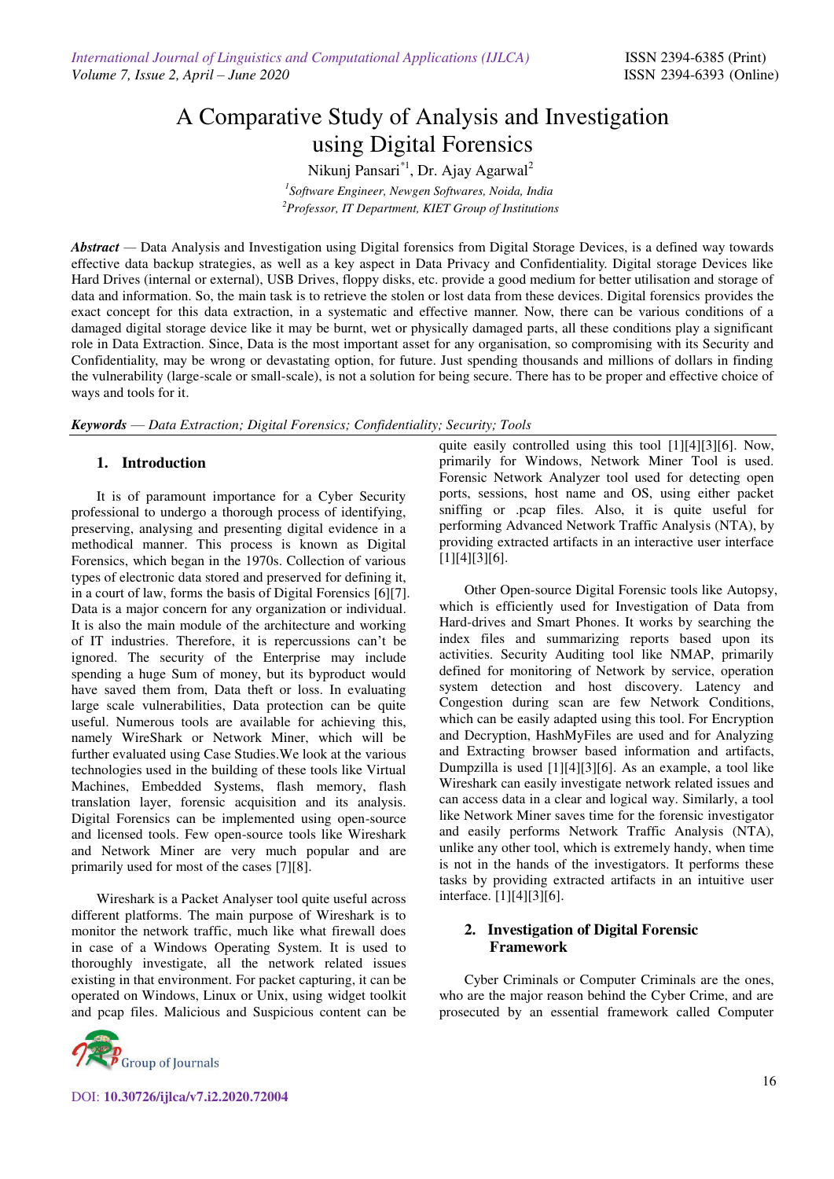# A Comparative Study of Analysis and Investigation using Digital Forensics

Nikunj Pansari<sup>\*1</sup>, Dr. Ajay Agarwal<sup>2</sup> *1 Software Engineer, Newgen Softwares, Noida, India <sup>2</sup>Professor, IT Department, KIET Group of Institutions* 

*Abstract* — Data Analysis and Investigation using Digital forensics from Digital Storage Devices, is a defined way towards effective data backup strategies, as well as a key aspect in Data Privacy and Confidentiality. Digital storage Devices like Hard Drives (internal or external), USB Drives, floppy disks, etc. provide a good medium for better utilisation and storage of data and information. So, the main task is to retrieve the stolen or lost data from these devices. Digital forensics provides the exact concept for this data extraction, in a systematic and effective manner. Now, there can be various conditions of a damaged digital storage device like it may be burnt, wet or physically damaged parts, all these conditions play a significant role in Data Extraction. Since, Data is the most important asset for any organisation, so compromising with its Security and Confidentiality, may be wrong or devastating option, for future. Just spending thousands and millions of dollars in finding the vulnerability (large-scale or small-scale), is not a solution for being secure. There has to be proper and effective choice of ways and tools for it.

*Keywords* — *Data Extraction; Digital Forensics; Confidentiality; Security; Tools* 

### **1. Introduction**

It is of paramount importance for a Cyber Security professional to undergo a thorough process of identifying, preserving, analysing and presenting digital evidence in a methodical manner. This process is known as Digital Forensics, which began in the 1970s. Collection of various types of electronic data stored and preserved for defining it, in a court of law, forms the basis of Digital Forensics [6][7]. Data is a major concern for any organization or individual. It is also the main module of the architecture and working of IT industries. Therefore, it is repercussions can't be ignored. The security of the Enterprise may include spending a huge Sum of money, but its byproduct would have saved them from, Data theft or loss. In evaluating large scale vulnerabilities, Data protection can be quite useful. Numerous tools are available for achieving this, namely WireShark or Network Miner, which will be further evaluated using Case Studies.We look at the various technologies used in the building of these tools like Virtual Machines, Embedded Systems, flash memory, flash translation layer, forensic acquisition and its analysis. Digital Forensics can be implemented using open-source and licensed tools. Few open-source tools like Wireshark and Network Miner are very much popular and are primarily used for most of the cases [7][8].

Wireshark is a Packet Analyser tool quite useful across different platforms. The main purpose of Wireshark is to monitor the network traffic, much like what firewall does in case of a Windows Operating System. It is used to thoroughly investigate, all the network related issues existing in that environment. For packet capturing, it can be operated on Windows, Linux or Unix, using widget toolkit and pcap files. Malicious and Suspicious content can be



DOI: **10.30726/ijlca/v7.i2.2020.72004**

quite easily controlled using this tool [1][4][3][6]. Now, primarily for Windows, Network Miner Tool is used. Forensic Network Analyzer tool used for detecting open ports, sessions, host name and OS, using either packet sniffing or .pcap files. Also, it is quite useful for performing Advanced Network Traffic Analysis (NTA), by providing extracted artifacts in an interactive user interface [1][4][3][6].

Other Open-source Digital Forensic tools like Autopsy, which is efficiently used for Investigation of Data from Hard-drives and Smart Phones. It works by searching the index files and summarizing reports based upon its activities. Security Auditing tool like NMAP, primarily defined for monitoring of Network by service, operation system detection and host discovery. Latency and Congestion during scan are few Network Conditions, which can be easily adapted using this tool. For Encryption and Decryption, HashMyFiles are used and for Analyzing and Extracting browser based information and artifacts, Dumpzilla is used [1][4][3][6]. As an example, a tool like Wireshark can easily investigate network related issues and can access data in a clear and logical way. Similarly, a tool like Network Miner saves time for the forensic investigator and easily performs Network Traffic Analysis (NTA), unlike any other tool, which is extremely handy, when time is not in the hands of the investigators. It performs these tasks by providing extracted artifacts in an intuitive user interface. [1][4][3][6].

### **2. Investigation of Digital Forensic Framework**

Cyber Criminals or Computer Criminals are the ones, who are the major reason behind the Cyber Crime, and are prosecuted by an essential framework called Computer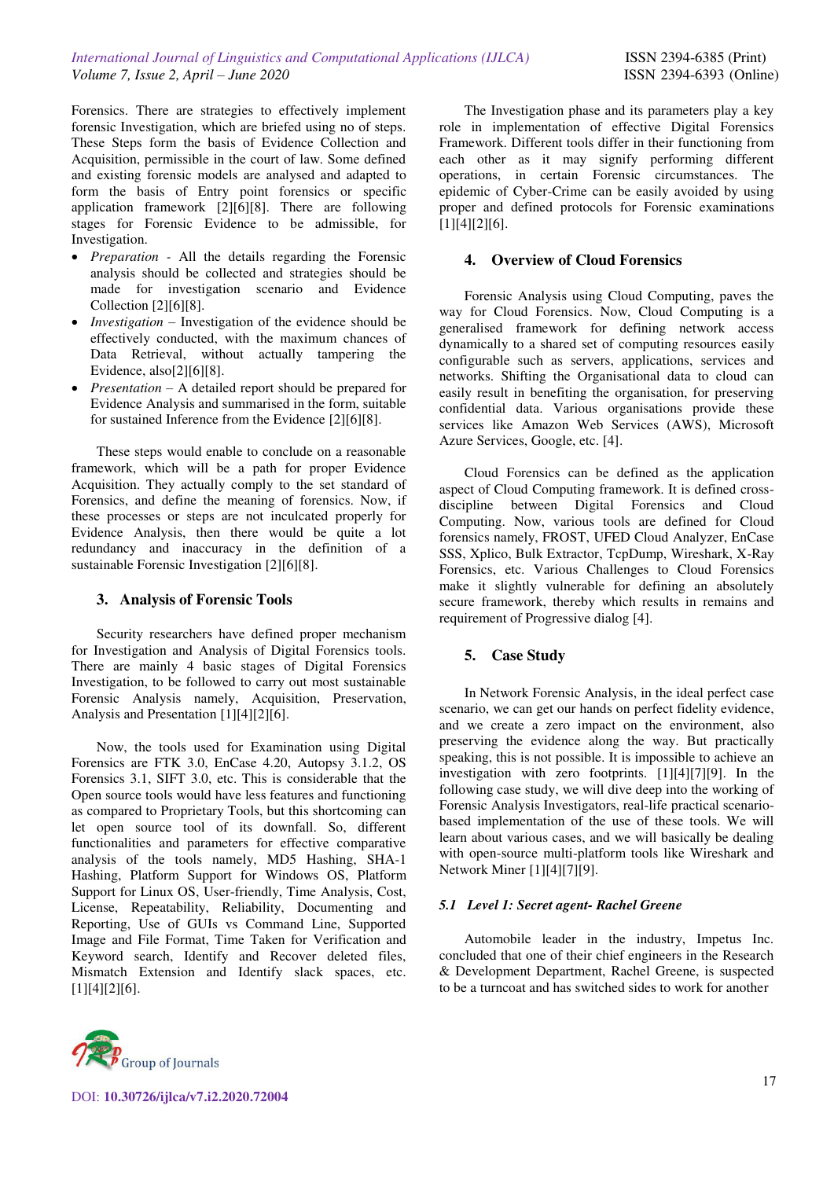Forensics. There are strategies to effectively implement forensic Investigation, which are briefed using no of steps. These Steps form the basis of Evidence Collection and Acquisition, permissible in the court of law. Some defined and existing forensic models are analysed and adapted to form the basis of Entry point forensics or specific application framework [2][6][8]. There are following stages for Forensic Evidence to be admissible, for Investigation.

- *Preparation -* All the details regarding the Forensic analysis should be collected and strategies should be made for investigation scenario and Evidence Collection [2][6][8].
- *Investigation* Investigation of the evidence should be effectively conducted, with the maximum chances of Data Retrieval, without actually tampering the Evidence, also[2][6][8].
- *Presentation –* A detailed report should be prepared for Evidence Analysis and summarised in the form, suitable for sustained Inference from the Evidence [2][6][8].

These steps would enable to conclude on a reasonable framework, which will be a path for proper Evidence Acquisition. They actually comply to the set standard of Forensics, and define the meaning of forensics. Now, if these processes or steps are not inculcated properly for Evidence Analysis, then there would be quite a lot redundancy and inaccuracy in the definition of a sustainable Forensic Investigation [2][6][8].

## **3. Analysis of Forensic Tools**

Security researchers have defined proper mechanism for Investigation and Analysis of Digital Forensics tools. There are mainly 4 basic stages of Digital Forensics Investigation, to be followed to carry out most sustainable Forensic Analysis namely, Acquisition, Preservation, Analysis and Presentation [1][4][2][6].

Now, the tools used for Examination using Digital Forensics are FTK 3.0, EnCase 4.20, Autopsy 3.1.2, OS Forensics 3.1, SIFT 3.0, etc. This is considerable that the Open source tools would have less features and functioning as compared to Proprietary Tools, but this shortcoming can let open source tool of its downfall. So, different functionalities and parameters for effective comparative analysis of the tools namely, MD5 Hashing, SHA-1 Hashing, Platform Support for Windows OS, Platform Support for Linux OS, User-friendly, Time Analysis, Cost, License, Repeatability, Reliability, Documenting and Reporting, Use of GUIs vs Command Line, Supported Image and File Format, Time Taken for Verification and Keyword search, Identify and Recover deleted files, Mismatch Extension and Identify slack spaces, etc. [1][4][2][6].



The Investigation phase and its parameters play a key role in implementation of effective Digital Forensics Framework. Different tools differ in their functioning from each other as it may signify performing different operations, in certain Forensic circumstances. The epidemic of Cyber-Crime can be easily avoided by using proper and defined protocols for Forensic examinations [1][4][2][6].

# **4. Overview of Cloud Forensics**

Forensic Analysis using Cloud Computing, paves the way for Cloud Forensics. Now, Cloud Computing is a generalised framework for defining network access dynamically to a shared set of computing resources easily configurable such as servers, applications, services and networks. Shifting the Organisational data to cloud can easily result in benefiting the organisation, for preserving confidential data. Various organisations provide these services like Amazon Web Services (AWS), Microsoft Azure Services, Google, etc. [4].

Cloud Forensics can be defined as the application aspect of Cloud Computing framework. It is defined crossdiscipline between Digital Forensics and Cloud Computing. Now, various tools are defined for Cloud forensics namely, FROST, UFED Cloud Analyzer, EnCase SSS, Xplico, Bulk Extractor, TcpDump, Wireshark, X-Ray Forensics, etc. Various Challenges to Cloud Forensics make it slightly vulnerable for defining an absolutely secure framework, thereby which results in remains and requirement of Progressive dialog [4].

# **5. Case Study**

In Network Forensic Analysis, in the ideal perfect case scenario, we can get our hands on perfect fidelity evidence, and we create a zero impact on the environment, also preserving the evidence along the way. But practically speaking, this is not possible. It is impossible to achieve an investigation with zero footprints. [1][4][7][9]. In the following case study, we will dive deep into the working of Forensic Analysis Investigators, real-life practical scenariobased implementation of the use of these tools. We will learn about various cases, and we will basically be dealing with open-source multi-platform tools like Wireshark and Network Miner [1][4][7][9].

# *5.1 Level 1: Secret agent- Rachel Greene*

Automobile leader in the industry, Impetus Inc. concluded that one of their chief engineers in the Research & Development Department, Rachel Greene, is suspected to be a turncoat and has switched sides to work for another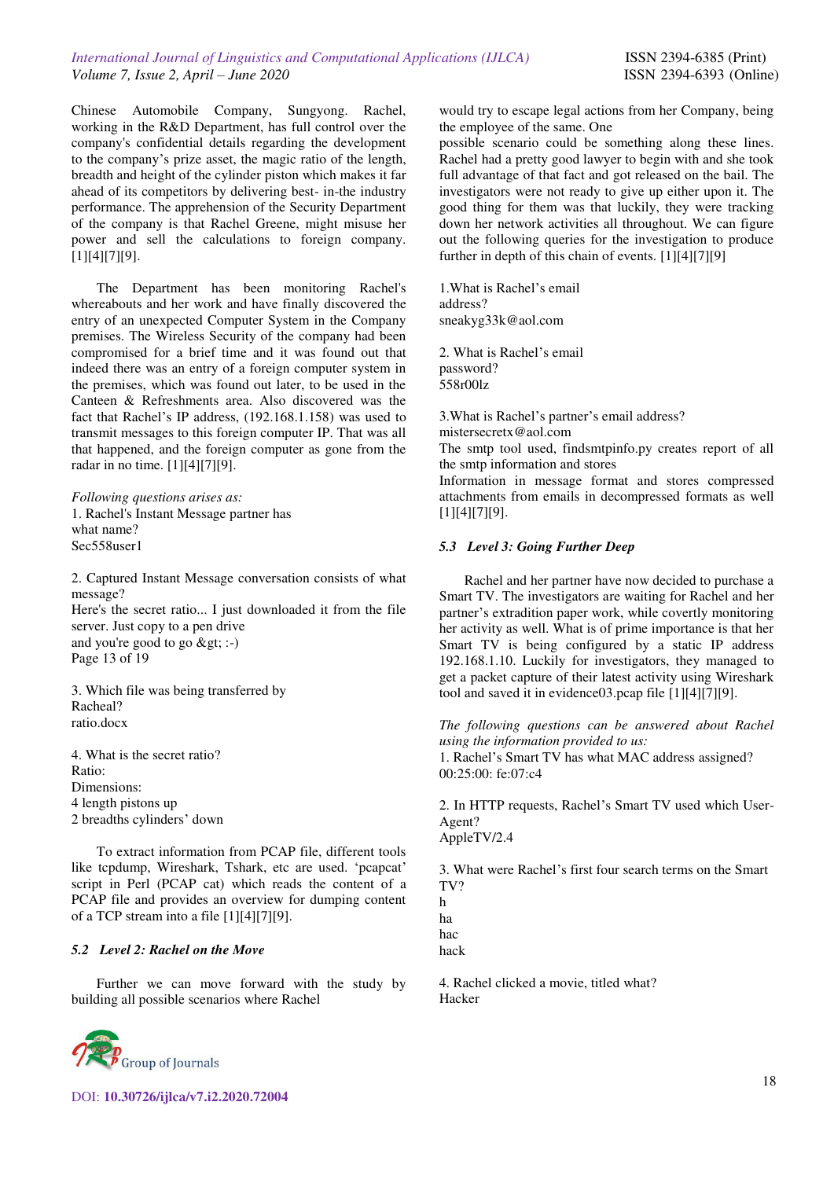Chinese Automobile Company, Sungyong. Rachel, working in the R&D Department, has full control over the company's confidential details regarding the development to the company's prize asset, the magic ratio of the length, breadth and height of the cylinder piston which makes it far ahead of its competitors by delivering best- in-the industry performance. The apprehension of the Security Department of the company is that Rachel Greene, might misuse her power and sell the calculations to foreign company. [1][4][7][9].

The Department has been monitoring Rachel's whereabouts and her work and have finally discovered the entry of an unexpected Computer System in the Company premises. The Wireless Security of the company had been compromised for a brief time and it was found out that indeed there was an entry of a foreign computer system in the premises, which was found out later, to be used in the Canteen & Refreshments area. Also discovered was the fact that Rachel's IP address, (192.168.1.158) was used to transmit messages to this foreign computer IP. That was all that happened, and the foreign computer as gone from the radar in no time. [1][4][7][9].

*Following questions arises as:*  1. Rachel's Instant Message partner has what name? Sec558user1

2. Captured Instant Message conversation consists of what message? Here's the secret ratio... I just downloaded it from the file server. Just copy to a pen drive and you're good to go  $>g$  :-) Page 13 of 19

3. Which file was being transferred by Racheal? ratio.docx

4. What is the secret ratio? Ratio: Dimensions: 4 length pistons up 2 breadths cylinders' down

To extract information from PCAP file, different tools like tcpdump, Wireshark, Tshark, etc are used. 'pcapcat' script in Perl (PCAP cat) which reads the content of a PCAP file and provides an overview for dumping content of a TCP stream into a file [1][4][7][9].

### *5.2 Level 2: Rachel on the Move*

Further we can move forward with the study by building all possible scenarios where Rachel



would try to escape legal actions from her Company, being the employee of the same. One

possible scenario could be something along these lines. Rachel had a pretty good lawyer to begin with and she took full advantage of that fact and got released on the bail. The investigators were not ready to give up either upon it. The good thing for them was that luckily, they were tracking down her network activities all throughout. We can figure out the following queries for the investigation to produce further in depth of this chain of events. [1][4][7][9]

1.What is Rachel's email address? sneakyg33k@aol.com

2. What is Rachel's email password? 558r00lz

3.What is Rachel's partner's email address? mistersecretx@aol.com

The smtp tool used, findsmtpinfo.py creates report of all the smtp information and stores

Information in message format and stores compressed attachments from emails in decompressed formats as well [1][4][7][9].

#### *5.3 Level 3: Going Further Deep*

Rachel and her partner have now decided to purchase a Smart TV. The investigators are waiting for Rachel and her partner's extradition paper work, while covertly monitoring her activity as well. What is of prime importance is that her Smart TV is being configured by a static IP address 192.168.1.10. Luckily for investigators, they managed to get a packet capture of their latest activity using Wireshark tool and saved it in evidence03.pcap file [1][4][7][9].

*The following questions can be answered about Rachel using the information provided to us:*  1. Rachel's Smart TV has what MAC address assigned?

00:25:00: fe:07:c4

2. In HTTP requests, Rachel's Smart TV used which User-Agent? AppleTV/2.4

3. What were Rachel's first four search terms on the Smart TV? h

ha hac

hack

4. Rachel clicked a movie, titled what? Hacker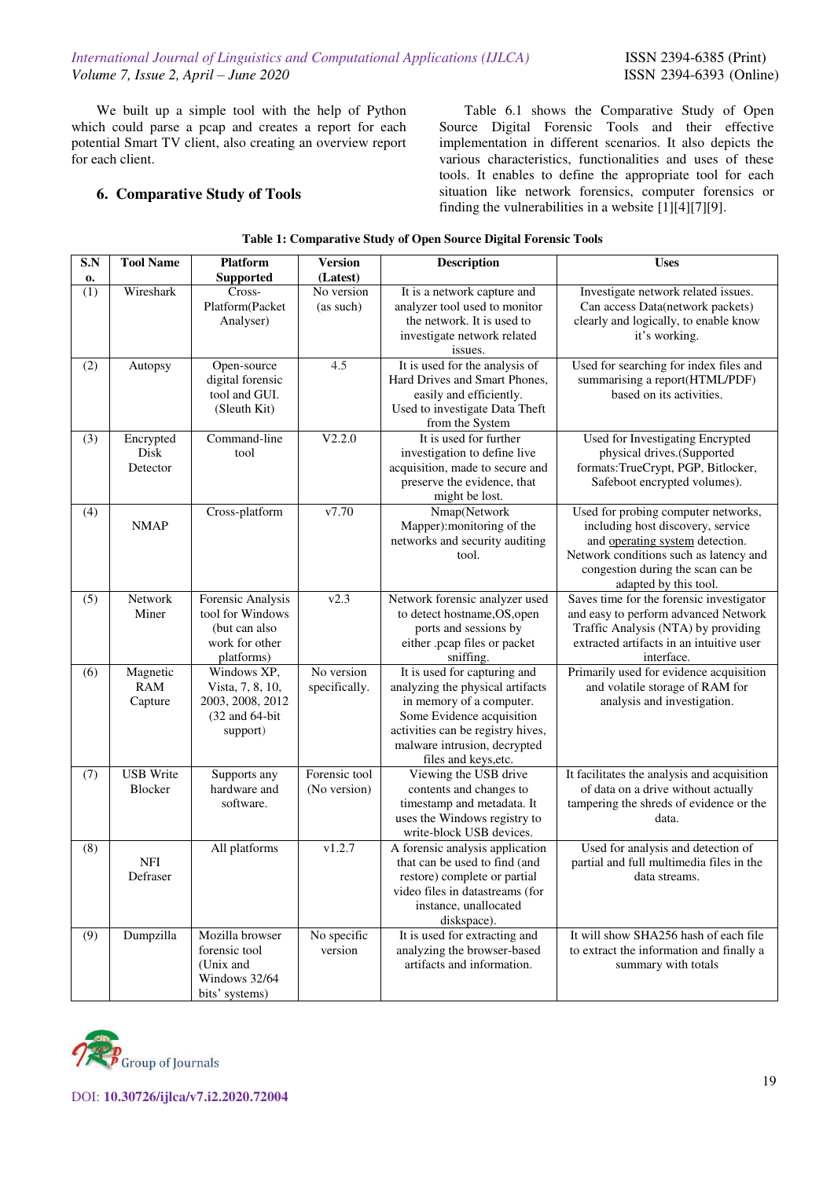We built up a simple tool with the help of Python which could parse a pcap and creates a report for each potential Smart TV client, also creating an overview report for each client.

Table 6.1 shows the Comparative Study of Open Source Digital Forensic Tools and their effective implementation in different scenarios. It also depicts the various characteristics, functionalities and uses of these tools. It enables to define the appropriate tool for each situation like network forensics, computer forensics or finding the vulnerabilities in a website  $\lceil 1 \rceil \lceil 4 \rceil \lceil 7 \rceil \lceil 9 \rceil$ .

## **6. Comparative Study of Tools**

| rabic 1. Comparative Study or Open Source Digital Porensie Tools |                                   |                                                                                        |                               |                                                                                                                                                                                                                        |                                                                                                                                                                                                                     |  |  |  |  |  |
|------------------------------------------------------------------|-----------------------------------|----------------------------------------------------------------------------------------|-------------------------------|------------------------------------------------------------------------------------------------------------------------------------------------------------------------------------------------------------------------|---------------------------------------------------------------------------------------------------------------------------------------------------------------------------------------------------------------------|--|--|--|--|--|
| S.N<br>0.                                                        | <b>Tool Name</b>                  | <b>Platform</b><br><b>Supported</b>                                                    | <b>Version</b><br>(Latest)    | Description                                                                                                                                                                                                            | <b>Uses</b>                                                                                                                                                                                                         |  |  |  |  |  |
| (1)                                                              | Wireshark                         | Cross-<br>Platform(Packet<br>Analyser)                                                 | No version<br>(as such)       | It is a network capture and<br>analyzer tool used to monitor<br>the network. It is used to<br>investigate network related<br>issues.                                                                                   | Investigate network related issues.<br>Can access Data(network packets)<br>clearly and logically, to enable know<br>it's working.                                                                                   |  |  |  |  |  |
| (2)                                                              | Autopsy                           | Open-source<br>digital forensic<br>tool and GUI.<br>(Sleuth Kit)                       | 4.5                           | It is used for the analysis of<br>Hard Drives and Smart Phones,<br>easily and efficiently.<br>Used to investigate Data Theft<br>from the System                                                                        | Used for searching for index files and<br>summarising a report(HTML/PDF)<br>based on its activities.                                                                                                                |  |  |  |  |  |
| (3)                                                              | Encrypted<br>Disk<br>Detector     | Command-line<br>tool                                                                   | V2.2.0                        | It is used for further<br>investigation to define live<br>acquisition, made to secure and<br>preserve the evidence, that<br>might be lost.                                                                             | Used for Investigating Encrypted<br>physical drives.(Supported<br>formats:TrueCrypt, PGP, Bitlocker,<br>Safeboot encrypted volumes).                                                                                |  |  |  |  |  |
| (4)                                                              | <b>NMAP</b>                       | Cross-platform                                                                         | v7.70                         | Nmap(Network<br>Mapper): monitoring of the<br>networks and security auditing<br>tool.                                                                                                                                  | Used for probing computer networks,<br>including host discovery, service<br>and operating system detection.<br>Network conditions such as latency and<br>congestion during the scan can be<br>adapted by this tool. |  |  |  |  |  |
| (5)                                                              | Network<br>Miner                  | Forensic Analysis<br>tool for Windows<br>(but can also<br>work for other<br>platforms) | v2.3                          | Network forensic analyzer used<br>to detect hostname, OS, open<br>ports and sessions by<br>either .pcap files or packet<br>sniffing.                                                                                   | Saves time for the forensic investigator<br>and easy to perform advanced Network<br>Traffic Analysis (NTA) by providing<br>extracted artifacts in an intuitive user<br>interface.                                   |  |  |  |  |  |
| (6)                                                              | Magnetic<br><b>RAM</b><br>Capture | Windows XP,<br>Vista, 7, 8, 10,<br>2003, 2008, 2012<br>(32 and 64-bit<br>support)      | No version<br>specifically.   | It is used for capturing and<br>analyzing the physical artifacts<br>in memory of a computer.<br>Some Evidence acquisition<br>activities can be registry hives,<br>malware intrusion, decrypted<br>files and keys, etc. | Primarily used for evidence acquisition<br>and volatile storage of RAM for<br>analysis and investigation.                                                                                                           |  |  |  |  |  |
| (7)                                                              | <b>USB</b> Write<br>Blocker       | Supports any<br>hardware and<br>software.                                              | Forensic tool<br>(No version) | Viewing the USB drive<br>contents and changes to<br>timestamp and metadata. It<br>uses the Windows registry to<br>write-block USB devices.                                                                             | It facilitates the analysis and acquisition<br>of data on a drive without actually<br>tampering the shreds of evidence or the<br>data.                                                                              |  |  |  |  |  |
| (8)                                                              | <b>NFI</b><br>Defraser            | All platforms                                                                          | v1.2.7                        | A forensic analysis application<br>that can be used to find (and<br>restore) complete or partial<br>video files in datastreams (for<br>instance, unallocated<br>diskspace).                                            | Used for analysis and detection of<br>partial and full multimedia files in the<br>data streams.                                                                                                                     |  |  |  |  |  |
| (9)                                                              | Dumpzilla                         | Mozilla browser<br>forensic tool<br>(Unix and<br>Windows 32/64<br>bits' systems)       | No specific<br>version        | It is used for extracting and<br>analyzing the browser-based<br>artifacts and information.                                                                                                                             | It will show SHA256 hash of each file<br>to extract the information and finally a<br>summary with totals                                                                                                            |  |  |  |  |  |

|  |  | Table 1: Comparative Study of Open Source Digital Forensic Tools |
|--|--|------------------------------------------------------------------|
|  |  |                                                                  |